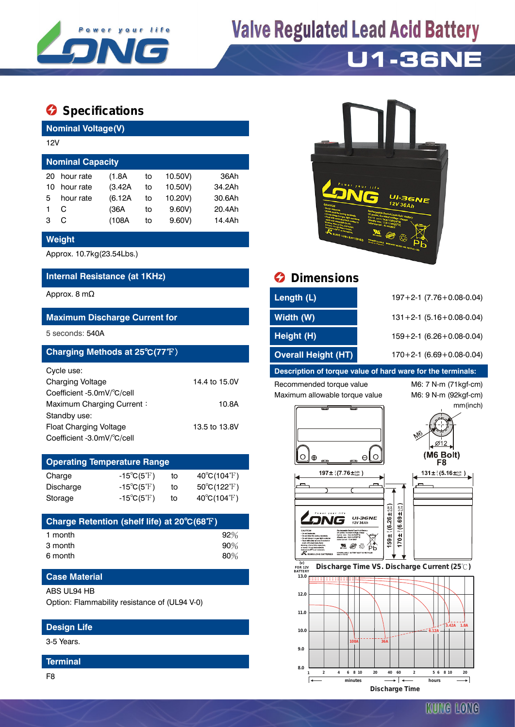

# **Valve Regulated Lead Acid Battery**

### **U1-36NE**

### **Specifications**

**Nominal Voltage(V)**

| 12V                     |           |         |    |         |        |  |  |  |
|-------------------------|-----------|---------|----|---------|--------|--|--|--|
| <b>Nominal Capacity</b> |           |         |    |         |        |  |  |  |
| 20                      | hour rate | (1.8A)  | to | 10.50V) | 36Ah   |  |  |  |
| 10                      | hour rate | (3.42A) | to | 10.50V) | 34.2Ah |  |  |  |
| 5                       | hour rate | (6.12A) | to | 10.20V) | 30.6Ah |  |  |  |
|                         | C         | (36A    | to | 9.60V   | 20.4Ah |  |  |  |
| з                       |           | (108A   | to | 9.60V   | 14.4Ah |  |  |  |

#### **Weight**

Approx. 10.7kg(23.54Lbs.)

#### **Internal Resistance (at 1KHz) Dimensions**

#### **Maximum Discharge Current for**

### **Charging Methods at 25℃(77°F)**

| Cycle use:                 |               |
|----------------------------|---------------|
| <b>Charging Voltage</b>    | 14.4 to 15.0V |
| Coefficient -5.0mV/°C/cell |               |
| Maximum Charging Current:  | 10.8A         |
| Standby use:               |               |
| Float Charging Voltage     | 13.5 to 13.8V |
| Coefficient -3.0mV/°C/cell |               |

#### **Operating Temperature Range** Charge  $-15^{\circ}C(5^{\circ}F)$  to  $40^{\circ}C(104^{\circ}F)$ Discharge  $-15°C(5°F)$  to  $50°C(122°F)$

| Discriciye | $-100111$                        |    | 000(1221)                   |
|------------|----------------------------------|----|-----------------------------|
| Storage    | -15 $^{\circ}$ C(5 $^{\circ}$ F) | to | $40^{\circ}C(104^{\circ}F)$ |

| Charge Retention (shelf life) at 20°C(68°F) |        |
|---------------------------------------------|--------|
| 1 month                                     | 92%    |
| 3 month                                     | $90\%$ |
| 6 month                                     | $80\%$ |

#### **Case Material**

ABS UL94 HB

Option: Flammability resistance of (UL94 V-0)

#### **Design Life**

3-5 Years.

#### **Terminal**

F8



| Approx. 8 m $\Omega$                 | Length (L)                 | $197 + 2 - 1$ (7.76 + 0.08 - 0.04) |
|--------------------------------------|----------------------------|------------------------------------|
| <b>Maximum Discharge Current for</b> | Width (W)                  | $131 + 2 - 1$ (5.16 + 0.08 - 0.04) |
| 5 seconds: 540A                      | Height (H)                 | $159 + 2 - 1$ (6.26 + 0.08 - 0.04) |
| Charging Methods at 25°C(77°F)       | <b>Overall Height (HT)</b> | $170+2-1$ (6.69 + 0.08-0.04)       |
|                                      |                            |                                    |

#### **Description of torque value of hard ware for the terminals:**

Recommended torque value M6: 7 N-m (71kgf-cm) Maximum allowable torque value M6: 9 N-m (92kgf-cm)

mm(inch)

 $\varnothing$ 12

F<sub>8</sub>



#### **FOR 12V BATTERY Discharge Time VS. Discharge Current (25 ℃)**